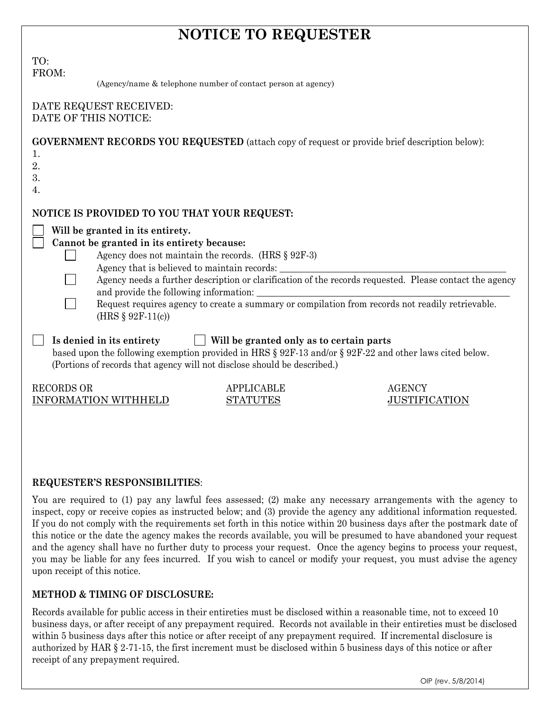# NOTICE TO REQUESTER

| TO:<br>FROM:<br>(Agency/name & telephone number of contact person at agency)                                                                                                                                                                                                                               |                                                                                                                                                                                                             |                                       |
|------------------------------------------------------------------------------------------------------------------------------------------------------------------------------------------------------------------------------------------------------------------------------------------------------------|-------------------------------------------------------------------------------------------------------------------------------------------------------------------------------------------------------------|---------------------------------------|
| DATE REQUEST RECEIVED:<br>DATE OF THIS NOTICE:                                                                                                                                                                                                                                                             |                                                                                                                                                                                                             |                                       |
| <b>GOVERNMENT RECORDS YOU REQUESTED</b> (attach copy of request or provide brief description below):<br>1.<br>2.<br>3.<br>4.                                                                                                                                                                               |                                                                                                                                                                                                             |                                       |
| NOTICE IS PROVIDED TO YOU THAT YOUR REQUEST:<br>Will be granted in its entirety.<br>Cannot be granted in its entirety because:<br>Agency does not maintain the records. (HRS $\S$ 92F-3)<br>Agency that is believed to maintain records:<br>and provide the following information:<br>(HRS $§ 92F-11(c)$ ) | Agency needs a further description or clarification of the records requested. Please contact the agency<br>Request requires agency to create a summary or compilation from records not readily retrievable. |                                       |
| Is denied in its entirety<br>based upon the following exemption provided in HRS § 92F-13 and/or § 92F-22 and other laws cited below.<br>(Portions of records that agency will not disclose should be described.)                                                                                           | Will be granted only as to certain parts                                                                                                                                                                    |                                       |
| <b>RECORDS OR</b><br><b>INFORMATION WITHHELD</b>                                                                                                                                                                                                                                                           | <b>APPLICABLE</b><br><b>STATUTES</b>                                                                                                                                                                        | <b>AGENCY</b><br><b>JUSTIFICATION</b> |

# REQUESTER'S RESPONSIBILITIES:

You are required to (1) pay any lawful fees assessed; (2) make any necessary arrangements with the agency to inspect, copy or receive copies as instructed below; and (3) provide the agency any additional information requested. If you do not comply with the requirements set forth in this notice within 20 business days after the postmark date of this notice or the date the agency makes the records available, you will be presumed to have abandoned your request and the agency shall have no further duty to process your request. Once the agency begins to process your request, you may be liable for any fees incurred. If you wish to cancel or modify your request, you must advise the agency upon receipt of this notice.

# METHOD & TIMING OF DISCLOSURE:

Records available for public access in their entireties must be disclosed within a reasonable time, not to exceed 10 business days, or after receipt of any prepayment required. Records not available in their entireties must be disclosed within 5 business days after this notice or after receipt of any prepayment required. If incremental disclosure is authorized by HAR § 2-71-15, the first increment must be disclosed within 5 business days of this notice or after receipt of any prepayment required.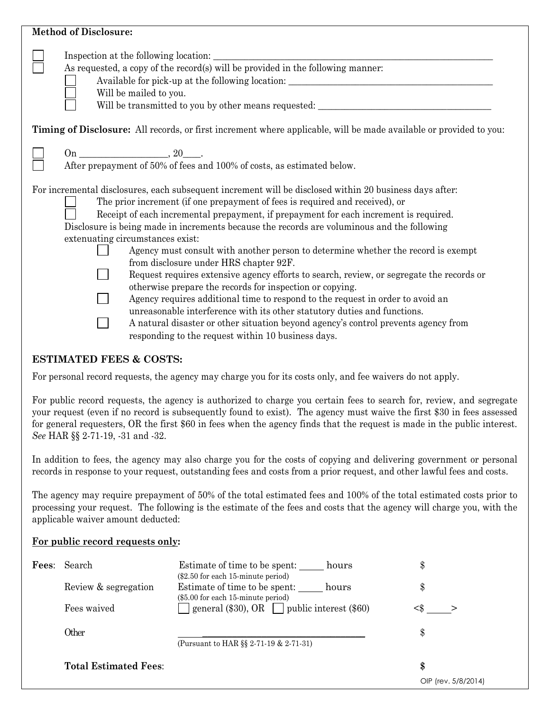| <b>Method of Disclosure:</b>                                                                                                                                                                                                                                                                                                                                                                                                                                                                                                                                                                                                                                                                                                                                                                                                                                                                                                                                                                                         |
|----------------------------------------------------------------------------------------------------------------------------------------------------------------------------------------------------------------------------------------------------------------------------------------------------------------------------------------------------------------------------------------------------------------------------------------------------------------------------------------------------------------------------------------------------------------------------------------------------------------------------------------------------------------------------------------------------------------------------------------------------------------------------------------------------------------------------------------------------------------------------------------------------------------------------------------------------------------------------------------------------------------------|
| Inspection at the following location:<br>As requested, a copy of the record(s) will be provided in the following manner:<br>Available for pick-up at the following location: ________________________________<br>Will be mailed to you.<br>Will be transmitted to you by other means requested: ___________________________                                                                                                                                                                                                                                                                                                                                                                                                                                                                                                                                                                                                                                                                                          |
| Timing of Disclosure: All records, or first increment where applicable, will be made available or provided to you:                                                                                                                                                                                                                                                                                                                                                                                                                                                                                                                                                                                                                                                                                                                                                                                                                                                                                                   |
| After prepayment of 50% of fees and 100% of costs, as estimated below.                                                                                                                                                                                                                                                                                                                                                                                                                                                                                                                                                                                                                                                                                                                                                                                                                                                                                                                                               |
| For incremental disclosures, each subsequent increment will be disclosed within 20 business days after:<br>The prior increment (if one prepayment of fees is required and received), or<br>Receipt of each incremental prepayment, if prepayment for each increment is required.<br>Disclosure is being made in increments because the records are voluminous and the following<br>extenuating circumstances exist:<br>Agency must consult with another person to determine whether the record is exempt<br>from disclosure under HRS chapter 92F.<br>Request requires extensive agency efforts to search, review, or segregate the records or<br>otherwise prepare the records for inspection or copying.<br>Agency requires additional time to respond to the request in order to avoid an<br>unreasonable interference with its other statutory duties and functions.<br>A natural disaster or other situation beyond agency's control prevents agency from<br>responding to the request within 10 business days. |

# ESTIMATED FEES & COSTS:

For personal record requests, the agency may charge you for its costs only, and fee waivers do not apply.

For public record requests, the agency is authorized to charge you certain fees to search for, review, and segregate your request (even if no record is subsequently found to exist). The agency must waive the first \$30 in fees assessed for general requesters, OR the first \$60 in fees when the agency finds that the request is made in the public interest. See HAR §§ 2-71-19, -31 and -32.

In addition to fees, the agency may also charge you for the costs of copying and delivering government or personal records in response to your request, outstanding fees and costs from a prior request, and other lawful fees and costs.

The agency may require prepayment of 50% of the total estimated fees and 100% of the total estimated costs prior to processing your request. The following is the estimate of the fees and costs that the agency will charge you, with the applicable waiver amount deducted:

# For public record requests only:

| Fees: | Search                       | Estimate of time to be spent: hours<br>$(\$2.50$ for each 15-minute period) | ٩D                  |
|-------|------------------------------|-----------------------------------------------------------------------------|---------------------|
|       | Review & segregation         | Estimate of time to be spent: hours<br>(\$5.00 for each 15-minute period)   | \$                  |
|       | Fees waived                  | general (\$30), OR $\Box$ public interest (\$60)                            |                     |
|       | Other                        |                                                                             | \$                  |
|       |                              | (Pursuant to HAR §§ 2-71-19 & 2-71-31)                                      |                     |
|       | <b>Total Estimated Fees:</b> |                                                                             | \$                  |
|       |                              |                                                                             | OIP (rev. 5/8/2014) |